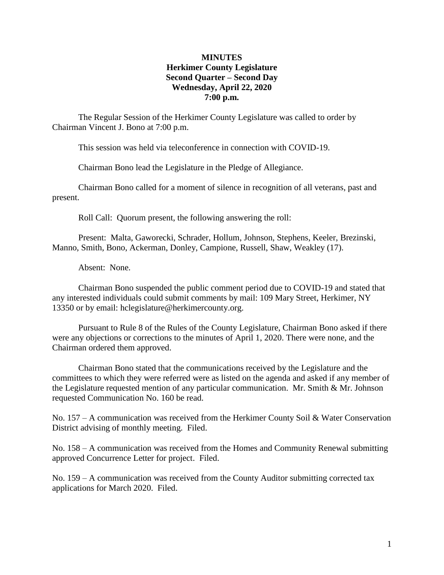## **MINUTES Herkimer County Legislature Second Quarter – Second Day Wednesday, April 22, 2020 7:00 p.m.**

The Regular Session of the Herkimer County Legislature was called to order by Chairman Vincent J. Bono at 7:00 p.m.

This session was held via teleconference in connection with COVID-19.

Chairman Bono lead the Legislature in the Pledge of Allegiance.

Chairman Bono called for a moment of silence in recognition of all veterans, past and present.

Roll Call: Quorum present, the following answering the roll:

Present: Malta, Gaworecki, Schrader, Hollum, Johnson, Stephens, Keeler, Brezinski, Manno, Smith, Bono, Ackerman, Donley, Campione, Russell, Shaw, Weakley (17).

Absent: None.

Chairman Bono suspended the public comment period due to COVID-19 and stated that any interested individuals could submit comments by mail: 109 Mary Street, Herkimer, NY 13350 or by email: hclegislature@herkimercounty.org.

Pursuant to Rule 8 of the Rules of the County Legislature, Chairman Bono asked if there were any objections or corrections to the minutes of April 1, 2020. There were none, and the Chairman ordered them approved.

Chairman Bono stated that the communications received by the Legislature and the committees to which they were referred were as listed on the agenda and asked if any member of the Legislature requested mention of any particular communication. Mr. Smith & Mr. Johnson requested Communication No. 160 be read.

No. 157 – A communication was received from the Herkimer County Soil & Water Conservation District advising of monthly meeting. Filed.

No. 158 – A communication was received from the Homes and Community Renewal submitting approved Concurrence Letter for project. Filed.

No. 159 – A communication was received from the County Auditor submitting corrected tax applications for March 2020. Filed.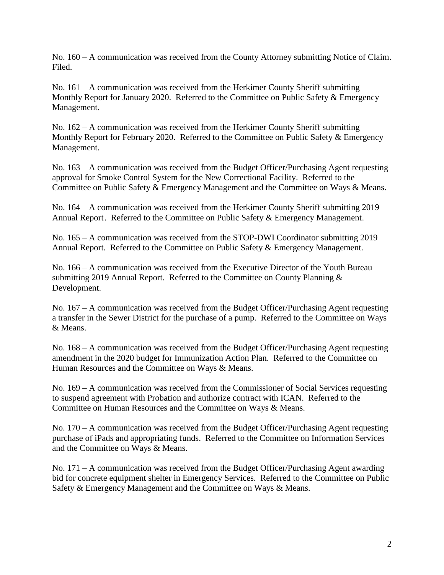No. 160 – A communication was received from the County Attorney submitting Notice of Claim. Filed.

No. 161 – A communication was received from the Herkimer County Sheriff submitting Monthly Report for January 2020. Referred to the Committee on Public Safety & Emergency Management.

No. 162 – A communication was received from the Herkimer County Sheriff submitting Monthly Report for February 2020. Referred to the Committee on Public Safety & Emergency Management.

No. 163 – A communication was received from the Budget Officer/Purchasing Agent requesting approval for Smoke Control System for the New Correctional Facility. Referred to the Committee on Public Safety & Emergency Management and the Committee on Ways & Means.

No. 164 – A communication was received from the Herkimer County Sheriff submitting 2019 Annual Report. Referred to the Committee on Public Safety & Emergency Management.

No. 165 – A communication was received from the STOP-DWI Coordinator submitting 2019 Annual Report. Referred to the Committee on Public Safety & Emergency Management.

No. 166 – A communication was received from the Executive Director of the Youth Bureau submitting 2019 Annual Report. Referred to the Committee on County Planning & Development.

No. 167 – A communication was received from the Budget Officer/Purchasing Agent requesting a transfer in the Sewer District for the purchase of a pump. Referred to the Committee on Ways & Means.

No. 168 – A communication was received from the Budget Officer/Purchasing Agent requesting amendment in the 2020 budget for Immunization Action Plan. Referred to the Committee on Human Resources and the Committee on Ways & Means.

No. 169 – A communication was received from the Commissioner of Social Services requesting to suspend agreement with Probation and authorize contract with ICAN. Referred to the Committee on Human Resources and the Committee on Ways & Means.

No. 170 – A communication was received from the Budget Officer/Purchasing Agent requesting purchase of iPads and appropriating funds. Referred to the Committee on Information Services and the Committee on Ways & Means.

No. 171 – A communication was received from the Budget Officer/Purchasing Agent awarding bid for concrete equipment shelter in Emergency Services. Referred to the Committee on Public Safety & Emergency Management and the Committee on Ways & Means.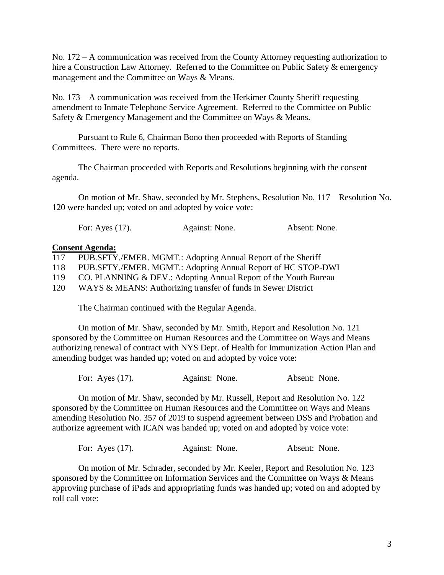No. 172 – A communication was received from the County Attorney requesting authorization to hire a Construction Law Attorney. Referred to the Committee on Public Safety & emergency management and the Committee on Ways & Means.

No. 173 – A communication was received from the Herkimer County Sheriff requesting amendment to Inmate Telephone Service Agreement. Referred to the Committee on Public Safety & Emergency Management and the Committee on Ways & Means.

Pursuant to Rule 6, Chairman Bono then proceeded with Reports of Standing Committees. There were no reports.

The Chairman proceeded with Reports and Resolutions beginning with the consent agenda.

On motion of Mr. Shaw, seconded by Mr. Stephens, Resolution No. 117 – Resolution No. 120 were handed up; voted on and adopted by voice vote:

For: Ayes (17). Against: None. Absent: None.

## **Consent Agenda:**

| 117 | PUB.SFTY./EMER. MGMT.: Adopting Annual Report of the Sheriff    |
|-----|-----------------------------------------------------------------|
| 118 | PUB.SFTY./EMER. MGMT.: Adopting Annual Report of HC STOP-DWI    |
| 119 | CO. PLANNING & DEV.: Adopting Annual Report of the Youth Bureau |
| 120 | WAYS & MEANS: Authorizing transfer of funds in Sewer District   |

The Chairman continued with the Regular Agenda.

On motion of Mr. Shaw, seconded by Mr. Smith, Report and Resolution No. 121 sponsored by the Committee on Human Resources and the Committee on Ways and Means authorizing renewal of contract with NYS Dept. of Health for Immunization Action Plan and amending budget was handed up; voted on and adopted by voice vote:

For: Ayes (17). Against: None. Absent: None.

On motion of Mr. Shaw, seconded by Mr. Russell, Report and Resolution No. 122 sponsored by the Committee on Human Resources and the Committee on Ways and Means amending Resolution No. 357 of 2019 to suspend agreement between DSS and Probation and authorize agreement with ICAN was handed up; voted on and adopted by voice vote:

| For: Ayes $(17)$ . | Against: None. | Absent: None. |  |
|--------------------|----------------|---------------|--|
|                    |                |               |  |

On motion of Mr. Schrader, seconded by Mr. Keeler, Report and Resolution No. 123 sponsored by the Committee on Information Services and the Committee on Ways & Means approving purchase of iPads and appropriating funds was handed up; voted on and adopted by roll call vote: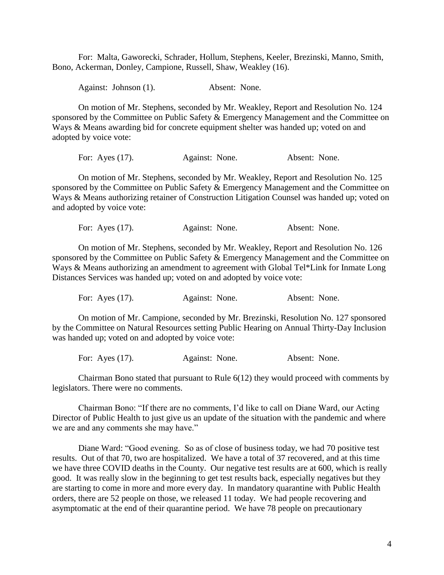For: Malta, Gaworecki, Schrader, Hollum, Stephens, Keeler, Brezinski, Manno, Smith, Bono, Ackerman, Donley, Campione, Russell, Shaw, Weakley (16).

Against: Johnson (1). Absent: None.

On motion of Mr. Stephens, seconded by Mr. Weakley, Report and Resolution No. 124 sponsored by the Committee on Public Safety & Emergency Management and the Committee on Ways & Means awarding bid for concrete equipment shelter was handed up; voted on and adopted by voice vote:

For: Ayes (17). Against: None. Absent: None.

On motion of Mr. Stephens, seconded by Mr. Weakley, Report and Resolution No. 125 sponsored by the Committee on Public Safety & Emergency Management and the Committee on Ways & Means authorizing retainer of Construction Litigation Counsel was handed up; voted on and adopted by voice vote:

For: Ayes (17). Against: None. Absent: None.

On motion of Mr. Stephens, seconded by Mr. Weakley, Report and Resolution No. 126 sponsored by the Committee on Public Safety & Emergency Management and the Committee on Ways & Means authorizing an amendment to agreement with Global Tel\*Link for Inmate Long Distances Services was handed up; voted on and adopted by voice vote:

For: Ayes (17). Against: None. Absent: None.

On motion of Mr. Campione, seconded by Mr. Brezinski, Resolution No. 127 sponsored by the Committee on Natural Resources setting Public Hearing on Annual Thirty-Day Inclusion was handed up; voted on and adopted by voice vote:

For: Ayes (17). Against: None. Absent: None.

Chairman Bono stated that pursuant to Rule 6(12) they would proceed with comments by legislators. There were no comments.

Chairman Bono: "If there are no comments, I'd like to call on Diane Ward, our Acting Director of Public Health to just give us an update of the situation with the pandemic and where we are and any comments she may have."

Diane Ward: "Good evening. So as of close of business today, we had 70 positive test results. Out of that 70, two are hospitalized. We have a total of 37 recovered, and at this time we have three COVID deaths in the County. Our negative test results are at 600, which is really good. It was really slow in the beginning to get test results back, especially negatives but they are starting to come in more and more every day. In mandatory quarantine with Public Health orders, there are 52 people on those, we released 11 today. We had people recovering and asymptomatic at the end of their quarantine period. We have 78 people on precautionary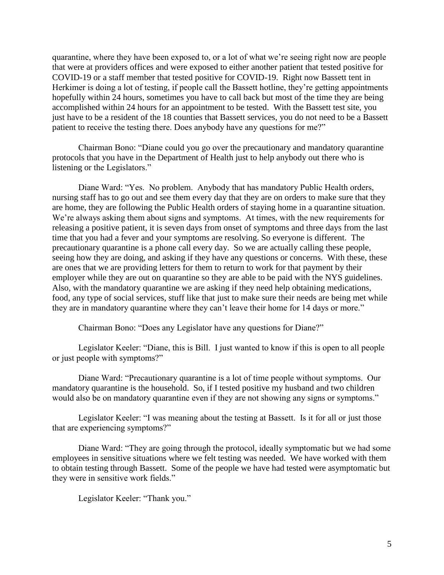quarantine, where they have been exposed to, or a lot of what we're seeing right now are people that were at providers offices and were exposed to either another patient that tested positive for COVID-19 or a staff member that tested positive for COVID-19. Right now Bassett tent in Herkimer is doing a lot of testing, if people call the Bassett hotline, they're getting appointments hopefully within 24 hours, sometimes you have to call back but most of the time they are being accomplished within 24 hours for an appointment to be tested. With the Bassett test site, you just have to be a resident of the 18 counties that Bassett services, you do not need to be a Bassett patient to receive the testing there. Does anybody have any questions for me?"

Chairman Bono: "Diane could you go over the precautionary and mandatory quarantine protocols that you have in the Department of Health just to help anybody out there who is listening or the Legislators."

Diane Ward: "Yes. No problem. Anybody that has mandatory Public Health orders, nursing staff has to go out and see them every day that they are on orders to make sure that they are home, they are following the Public Health orders of staying home in a quarantine situation. We're always asking them about signs and symptoms. At times, with the new requirements for releasing a positive patient, it is seven days from onset of symptoms and three days from the last time that you had a fever and your symptoms are resolving. So everyone is different. The precautionary quarantine is a phone call every day. So we are actually calling these people, seeing how they are doing, and asking if they have any questions or concerns. With these, these are ones that we are providing letters for them to return to work for that payment by their employer while they are out on quarantine so they are able to be paid with the NYS guidelines. Also, with the mandatory quarantine we are asking if they need help obtaining medications, food, any type of social services, stuff like that just to make sure their needs are being met while they are in mandatory quarantine where they can't leave their home for 14 days or more."

Chairman Bono: "Does any Legislator have any questions for Diane?"

Legislator Keeler: "Diane, this is Bill. I just wanted to know if this is open to all people or just people with symptoms?"

Diane Ward: "Precautionary quarantine is a lot of time people without symptoms. Our mandatory quarantine is the household. So, if I tested positive my husband and two children would also be on mandatory quarantine even if they are not showing any signs or symptoms."

Legislator Keeler: "I was meaning about the testing at Bassett. Is it for all or just those that are experiencing symptoms?"

Diane Ward: "They are going through the protocol, ideally symptomatic but we had some employees in sensitive situations where we felt testing was needed. We have worked with them to obtain testing through Bassett. Some of the people we have had tested were asymptomatic but they were in sensitive work fields."

Legislator Keeler: "Thank you."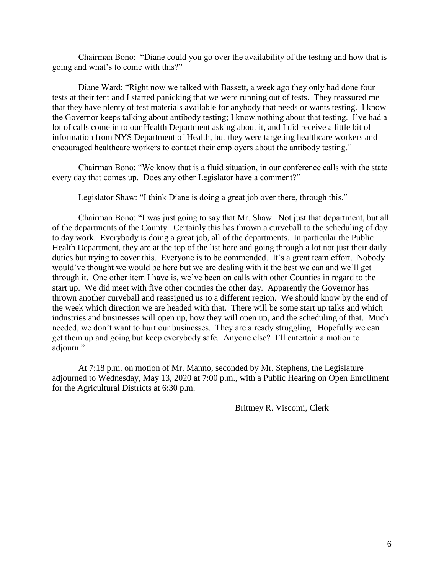Chairman Bono: "Diane could you go over the availability of the testing and how that is going and what's to come with this?"

Diane Ward: "Right now we talked with Bassett, a week ago they only had done four tests at their tent and I started panicking that we were running out of tests. They reassured me that they have plenty of test materials available for anybody that needs or wants testing. I know the Governor keeps talking about antibody testing; I know nothing about that testing. I've had a lot of calls come in to our Health Department asking about it, and I did receive a little bit of information from NYS Department of Health, but they were targeting healthcare workers and encouraged healthcare workers to contact their employers about the antibody testing."

Chairman Bono: "We know that is a fluid situation, in our conference calls with the state every day that comes up. Does any other Legislator have a comment?"

Legislator Shaw: "I think Diane is doing a great job over there, through this."

Chairman Bono: "I was just going to say that Mr. Shaw. Not just that department, but all of the departments of the County. Certainly this has thrown a curveball to the scheduling of day to day work. Everybody is doing a great job, all of the departments. In particular the Public Health Department, they are at the top of the list here and going through a lot not just their daily duties but trying to cover this. Everyone is to be commended. It's a great team effort. Nobody would've thought we would be here but we are dealing with it the best we can and we'll get through it. One other item I have is, we've been on calls with other Counties in regard to the start up. We did meet with five other counties the other day. Apparently the Governor has thrown another curveball and reassigned us to a different region. We should know by the end of the week which direction we are headed with that. There will be some start up talks and which industries and businesses will open up, how they will open up, and the scheduling of that. Much needed, we don't want to hurt our businesses. They are already struggling. Hopefully we can get them up and going but keep everybody safe. Anyone else? I'll entertain a motion to adjourn."

At 7:18 p.m. on motion of Mr. Manno, seconded by Mr. Stephens, the Legislature adjourned to Wednesday, May 13, 2020 at 7:00 p.m., with a Public Hearing on Open Enrollment for the Agricultural Districts at 6:30 p.m.

Brittney R. Viscomi, Clerk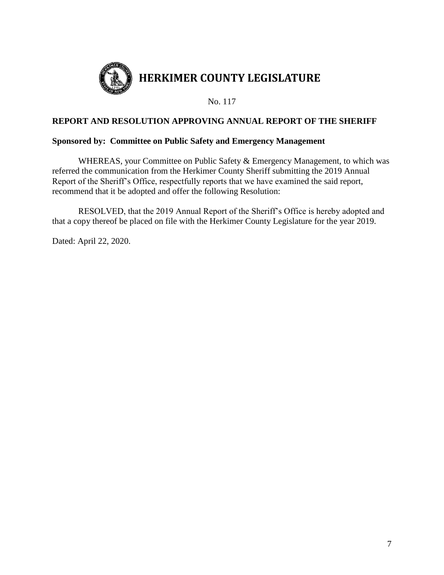

# **REPORT AND RESOLUTION APPROVING ANNUAL REPORT OF THE SHERIFF**

## **Sponsored by: Committee on Public Safety and Emergency Management**

WHEREAS, your Committee on Public Safety & Emergency Management, to which was referred the communication from the Herkimer County Sheriff submitting the 2019 Annual Report of the Sheriff's Office, respectfully reports that we have examined the said report, recommend that it be adopted and offer the following Resolution:

RESOLVED, that the 2019 Annual Report of the Sheriff's Office is hereby adopted and that a copy thereof be placed on file with the Herkimer County Legislature for the year 2019.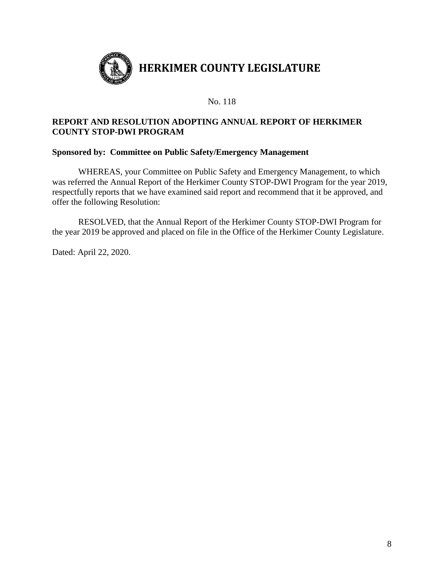

# **REPORT AND RESOLUTION ADOPTING ANNUAL REPORT OF HERKIMER COUNTY STOP-DWI PROGRAM**

## **Sponsored by: Committee on Public Safety/Emergency Management**

WHEREAS, your Committee on Public Safety and Emergency Management, to which was referred the Annual Report of the Herkimer County STOP-DWI Program for the year 2019, respectfully reports that we have examined said report and recommend that it be approved, and offer the following Resolution:

RESOLVED, that the Annual Report of the Herkimer County STOP-DWI Program for the year 2019 be approved and placed on file in the Office of the Herkimer County Legislature.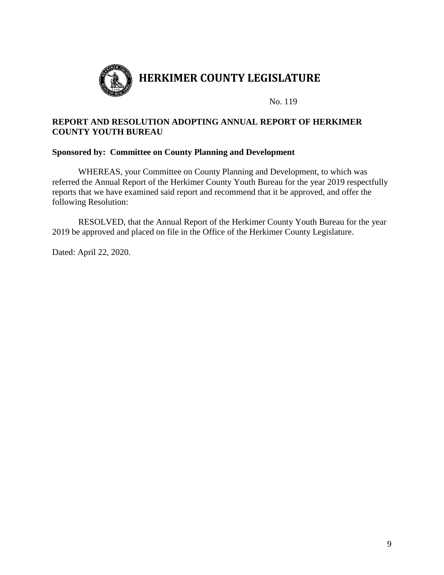

# **REPORT AND RESOLUTION ADOPTING ANNUAL REPORT OF HERKIMER COUNTY YOUTH BUREAU**

## **Sponsored by: Committee on County Planning and Development**

WHEREAS, your Committee on County Planning and Development, to which was referred the Annual Report of the Herkimer County Youth Bureau for the year 2019 respectfully reports that we have examined said report and recommend that it be approved, and offer the following Resolution:

RESOLVED, that the Annual Report of the Herkimer County Youth Bureau for the year 2019 be approved and placed on file in the Office of the Herkimer County Legislature.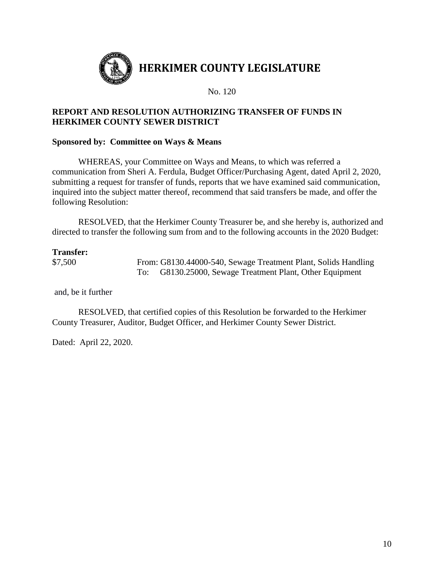

# **REPORT AND RESOLUTION AUTHORIZING TRANSFER OF FUNDS IN HERKIMER COUNTY SEWER DISTRICT**

## **Sponsored by: Committee on Ways & Means**

WHEREAS, your Committee on Ways and Means, to which was referred a communication from Sheri A. Ferdula, Budget Officer/Purchasing Agent, dated April 2, 2020, submitting a request for transfer of funds, reports that we have examined said communication, inquired into the subject matter thereof, recommend that said transfers be made, and offer the following Resolution:

RESOLVED, that the Herkimer County Treasurer be, and she hereby is, authorized and directed to transfer the following sum from and to the following accounts in the 2020 Budget:

## **Transfer:**

\$7,500 From: G8130.44000-540, Sewage Treatment Plant, Solids Handling To: G8130.25000, Sewage Treatment Plant, Other Equipment

and, be it further

RESOLVED, that certified copies of this Resolution be forwarded to the Herkimer County Treasurer, Auditor, Budget Officer, and Herkimer County Sewer District.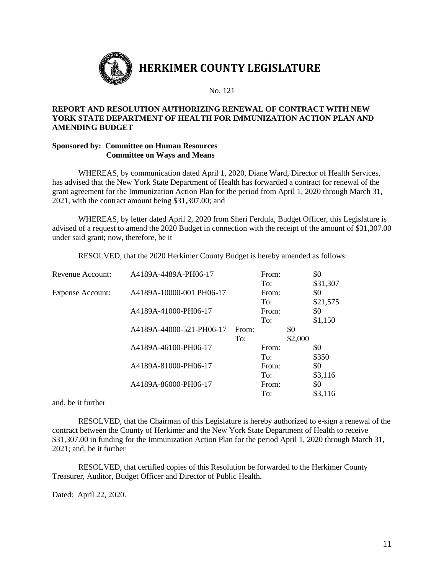

#### **REPORT AND RESOLUTION AUTHORIZING RENEWAL OF CONTRACT WITH NEW YORK STATE DEPARTMENT OF HEALTH FOR IMMUNIZATION ACTION PLAN AND AMENDING BUDGET**

#### **Sponsored by: Committee on Human Resources Committee on Ways and Means**

WHEREAS, by communication dated April 1, 2020, Diane Ward, Director of Health Services, has advised that the New York State Department of Health has forwarded a contract for renewal of the grant agreement for the Immunization Action Plan for the period from April 1, 2020 through March 31, 2021, with the contract amount being \$31,307.00; and

WHEREAS, by letter dated April 2, 2020 from Sheri Ferdula, Budget Officer, this Legislature is advised of a request to amend the 2020 Budget in connection with the receipt of the amount of \$31,307.00 under said grant; now, therefore, be it

RESOLVED, that the 2020 Herkimer County Budget is hereby amended as follows:

| Revenue Account:        | A4189A-4489A-PH06-17     |       | From: |         | \$0      |
|-------------------------|--------------------------|-------|-------|---------|----------|
|                         |                          |       | To:   |         | \$31,307 |
| <b>Expense Account:</b> | A4189A-10000-001 PH06-17 |       | From: |         | \$0      |
|                         |                          |       | To:   |         | \$21,575 |
|                         | A4189A-41000-PH06-17     |       | From: |         | \$0      |
|                         |                          |       | To:   |         | \$1,150  |
|                         | A4189A-44000-521-PH06-17 | From: |       | \$0     |          |
|                         |                          | To:   |       | \$2,000 |          |
|                         | A4189A-46100-PH06-17     |       | From: |         | \$0      |
|                         |                          |       | To:   |         | \$350    |
|                         | A4189A-81000-PH06-17     |       | From: |         | \$0      |
|                         |                          |       | To:   |         | \$3,116  |
|                         | A4189A-86000-PH06-17     |       | From: |         | \$0      |
|                         |                          |       | To:   |         | \$3,116  |

and, be it further

RESOLVED, that the Chairman of this Legislature is hereby authorized to e-sign a renewal of the contract between the County of Herkimer and the New York State Department of Health to receive \$31,307.00 in funding for the Immunization Action Plan for the period April 1, 2020 through March 31, 2021; and, be it further

RESOLVED, that certified copies of this Resolution be forwarded to the Herkimer County Treasurer, Auditor, Budget Officer and Director of Public Health.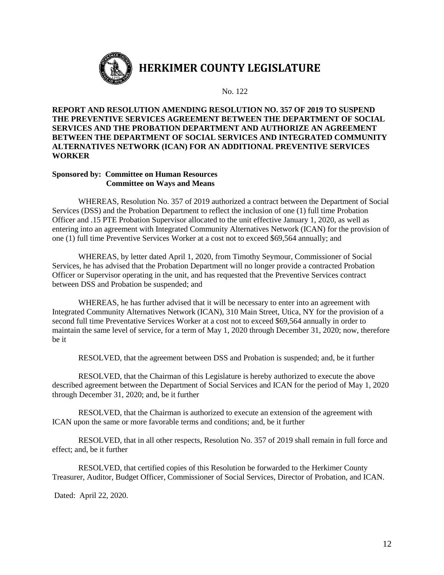

# **HERKIMER COUNTY LEGISLATURE**

No. 122

#### **REPORT AND RESOLUTION AMENDING RESOLUTION NO. 357 OF 2019 TO SUSPEND THE PREVENTIVE SERVICES AGREEMENT BETWEEN THE DEPARTMENT OF SOCIAL SERVICES AND THE PROBATION DEPARTMENT AND AUTHORIZE AN AGREEMENT BETWEEN THE DEPARTMENT OF SOCIAL SERVICES AND INTEGRATED COMMUNITY ALTERNATIVES NETWORK (ICAN) FOR AN ADDITIONAL PREVENTIVE SERVICES WORKER**

#### **Sponsored by: Committee on Human Resources Committee on Ways and Means**

WHEREAS, Resolution No. 357 of 2019 authorized a contract between the Department of Social Services (DSS) and the Probation Department to reflect the inclusion of one (1) full time Probation Officer and .15 PTE Probation Supervisor allocated to the unit effective January 1, 2020, as well as entering into an agreement with Integrated Community Alternatives Network (ICAN) for the provision of one (1) full time Preventive Services Worker at a cost not to exceed \$69,564 annually; and

WHEREAS, by letter dated April 1, 2020, from Timothy Seymour, Commissioner of Social Services, he has advised that the Probation Department will no longer provide a contracted Probation Officer or Supervisor operating in the unit, and has requested that the Preventive Services contract between DSS and Probation be suspended; and

WHEREAS, he has further advised that it will be necessary to enter into an agreement with Integrated Community Alternatives Network (ICAN), 310 Main Street, Utica, NY for the provision of a second full time Preventative Services Worker at a cost not to exceed \$69,564 annually in order to maintain the same level of service, for a term of May 1, 2020 through December 31, 2020; now, therefore be it

RESOLVED, that the agreement between DSS and Probation is suspended; and, be it further

RESOLVED, that the Chairman of this Legislature is hereby authorized to execute the above described agreement between the Department of Social Services and ICAN for the period of May 1, 2020 through December 31, 2020; and, be it further

RESOLVED, that the Chairman is authorized to execute an extension of the agreement with ICAN upon the same or more favorable terms and conditions; and, be it further

RESOLVED, that in all other respects, Resolution No. 357 of 2019 shall remain in full force and effect; and, be it further

RESOLVED, that certified copies of this Resolution be forwarded to the Herkimer County Treasurer, Auditor, Budget Officer, Commissioner of Social Services, Director of Probation, and ICAN.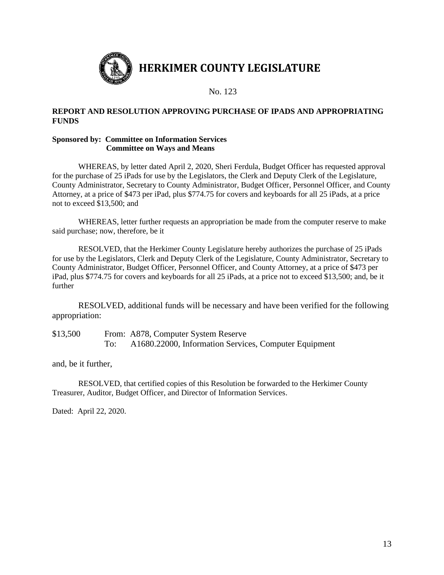

#### **REPORT AND RESOLUTION APPROVING PURCHASE OF IPADS AND APPROPRIATING FUNDS**

#### **Sponsored by: Committee on Information Services Committee on Ways and Means**

WHEREAS, by letter dated April 2, 2020, Sheri Ferdula, Budget Officer has requested approval for the purchase of 25 iPads for use by the Legislators, the Clerk and Deputy Clerk of the Legislature, County Administrator, Secretary to County Administrator, Budget Officer, Personnel Officer, and County Attorney, at a price of \$473 per iPad, plus \$774.75 for covers and keyboards for all 25 iPads, at a price not to exceed \$13,500; and

WHEREAS, letter further requests an appropriation be made from the computer reserve to make said purchase; now, therefore, be it

RESOLVED, that the Herkimer County Legislature hereby authorizes the purchase of 25 iPads for use by the Legislators, Clerk and Deputy Clerk of the Legislature, County Administrator, Secretary to County Administrator, Budget Officer, Personnel Officer, and County Attorney, at a price of \$473 per iPad, plus \$774.75 for covers and keyboards for all 25 iPads, at a price not to exceed \$13,500; and, be it further

RESOLVED, additional funds will be necessary and have been verified for the following appropriation:

\$13,500 From: A878, Computer System Reserve To: A1680.22000, Information Services, Computer Equipment

and, be it further,

RESOLVED, that certified copies of this Resolution be forwarded to the Herkimer County Treasurer, Auditor, Budget Officer, and Director of Information Services.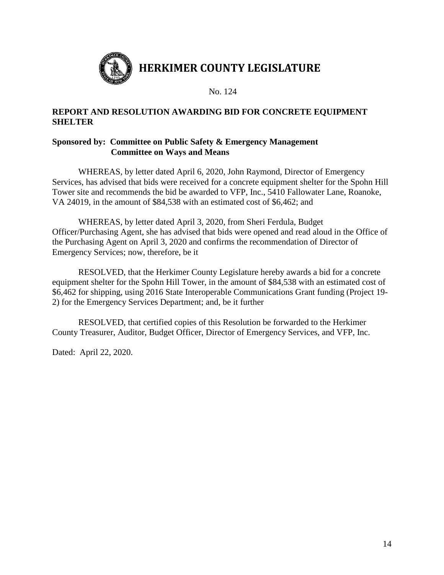

# **REPORT AND RESOLUTION AWARDING BID FOR CONCRETE EQUIPMENT SHELTER**

# **Sponsored by: Committee on Public Safety & Emergency Management Committee on Ways and Means**

WHEREAS, by letter dated April 6, 2020, John Raymond, Director of Emergency Services, has advised that bids were received for a concrete equipment shelter for the Spohn Hill Tower site and recommends the bid be awarded to VFP, Inc., 5410 Fallowater Lane, Roanoke, VA 24019, in the amount of \$84,538 with an estimated cost of \$6,462; and

WHEREAS, by letter dated April 3, 2020, from Sheri Ferdula, Budget Officer/Purchasing Agent, she has advised that bids were opened and read aloud in the Office of the Purchasing Agent on April 3, 2020 and confirms the recommendation of Director of Emergency Services; now, therefore, be it

RESOLVED, that the Herkimer County Legislature hereby awards a bid for a concrete equipment shelter for the Spohn Hill Tower, in the amount of \$84,538 with an estimated cost of \$6,462 for shipping, using 2016 State Interoperable Communications Grant funding (Project 19- 2) for the Emergency Services Department; and, be it further

RESOLVED, that certified copies of this Resolution be forwarded to the Herkimer County Treasurer, Auditor, Budget Officer, Director of Emergency Services, and VFP, Inc.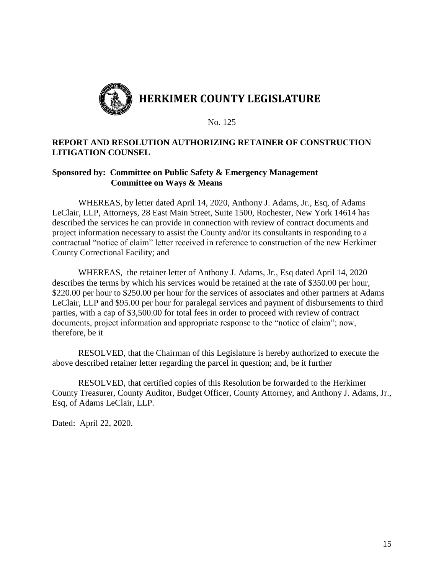

## **REPORT AND RESOLUTION AUTHORIZING RETAINER OF CONSTRUCTION LITIGATION COUNSEL**

## **Sponsored by: Committee on Public Safety & Emergency Management Committee on Ways & Means**

WHEREAS, by letter dated April 14, 2020, Anthony J. Adams, Jr., Esq, of Adams LeClair, LLP, Attorneys, 28 East Main Street, Suite 1500, Rochester, New York 14614 has described the services he can provide in connection with review of contract documents and project information necessary to assist the County and/or its consultants in responding to a contractual "notice of claim" letter received in reference to construction of the new Herkimer County Correctional Facility; and

WHEREAS, the retainer letter of Anthony J. Adams, Jr., Esq dated April 14, 2020 describes the terms by which his services would be retained at the rate of \$350.00 per hour, \$220.00 per hour to \$250.00 per hour for the services of associates and other partners at Adams LeClair, LLP and \$95.00 per hour for paralegal services and payment of disbursements to third parties, with a cap of \$3,500.00 for total fees in order to proceed with review of contract documents, project information and appropriate response to the "notice of claim"; now, therefore, be it

RESOLVED, that the Chairman of this Legislature is hereby authorized to execute the above described retainer letter regarding the parcel in question; and, be it further

RESOLVED, that certified copies of this Resolution be forwarded to the Herkimer County Treasurer, County Auditor, Budget Officer, County Attorney, and Anthony J. Adams, Jr., Esq, of Adams LeClair, LLP.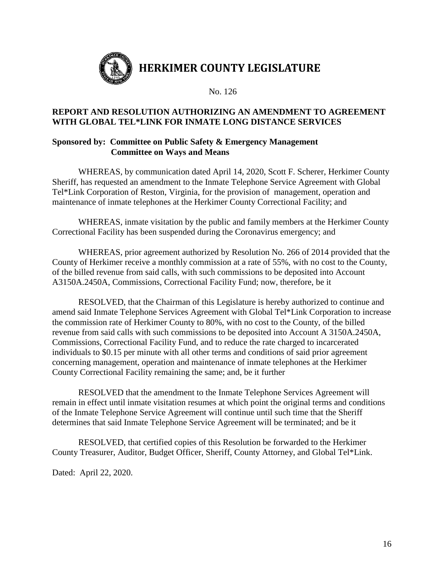

# **REPORT AND RESOLUTION AUTHORIZING AN AMENDMENT TO AGREEMENT WITH GLOBAL TEL\*LINK FOR INMATE LONG DISTANCE SERVICES**

## **Sponsored by: Committee on Public Safety & Emergency Management Committee on Ways and Means**

WHEREAS, by communication dated April 14, 2020, Scott F. Scherer, Herkimer County Sheriff, has requested an amendment to the Inmate Telephone Service Agreement with Global Tel\*Link Corporation of Reston, Virginia, for the provision of management, operation and maintenance of inmate telephones at the Herkimer County Correctional Facility; and

WHEREAS, inmate visitation by the public and family members at the Herkimer County Correctional Facility has been suspended during the Coronavirus emergency; and

WHEREAS, prior agreement authorized by Resolution No. 266 of 2014 provided that the County of Herkimer receive a monthly commission at a rate of 55%, with no cost to the County, of the billed revenue from said calls, with such commissions to be deposited into Account A3150A.2450A, Commissions, Correctional Facility Fund; now, therefore, be it

RESOLVED, that the Chairman of this Legislature is hereby authorized to continue and amend said Inmate Telephone Services Agreement with Global Tel\*Link Corporation to increase the commission rate of Herkimer County to 80%, with no cost to the County, of the billed revenue from said calls with such commissions to be deposited into Account A 3150A.2450A, Commissions, Correctional Facility Fund, and to reduce the rate charged to incarcerated individuals to \$0.15 per minute with all other terms and conditions of said prior agreement concerning management, operation and maintenance of inmate telephones at the Herkimer County Correctional Facility remaining the same; and, be it further

RESOLVED that the amendment to the Inmate Telephone Services Agreement will remain in effect until inmate visitation resumes at which point the original terms and conditions of the Inmate Telephone Service Agreement will continue until such time that the Sheriff determines that said Inmate Telephone Service Agreement will be terminated; and be it

RESOLVED, that certified copies of this Resolution be forwarded to the Herkimer County Treasurer, Auditor, Budget Officer, Sheriff, County Attorney, and Global Tel\*Link.